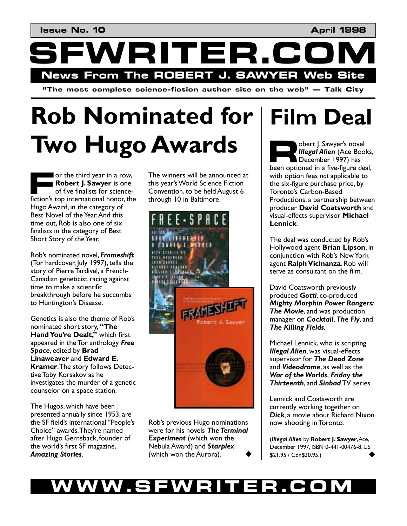WRITER.C **News From The ROBERT J. SAWYER Web Site** 

 $\mathbf{a}^*$  **i** The most complete science-fiction author site on the web  $\mathbf{b}^*$  — Talk City

# **Rob Nominated for Two Hugo Awards**

or the third year in a row, **Robert J. Sawyer** is one of five finalists for science-**Figure 1. Sawyer is one**<br> **Figure 1. Sawyer is one**<br>
of five finalists for science-<br>
fiction's top international honor, the Hugo Award, in the category of Best Novel of the Year. And this time out, Rob is also one of six finalists in the category of Best Short Story of the Year.

Robís nominated novel, *Frameshift* (Tor hardcover, July 1997), tells the story of Pierre Tardivel, a French-Canadian geneticist racing against time to make a scientific breakthrough before he succumbs to Huntington's Disease.

Genetics is also the theme of Robís nominated short story, "The **Hand You're Dealt,"** which first appeared in the Tor anthology *Free Space*, edited by **Brad Linaweaver** and **Edward E. Kramer**. The story follows Detective Toby Korsakov as he investigates the murder of a genetic counselor on a space station.

The Hugos, which have been presented annually since 1953, are the SF field's international "People's Choice" awards. They're named after Hugo Gernsback, founder of the world's first SF magazine, *Amazing Stories*.

The winners will be announced at this year's World Science Fiction Convention, to be held August 6 through 10 in Baltimore.



Robís previous Hugo nominations were for his novels *The Terminal*  **Experiment** (which won the Nebula Award) and *Starplex*  (which won the Aurora).

### **Film Deal**

obert J. Sawyer's novel *Illegal Alien* (Ace Books, December 1997) has bert J. Sawyer's novel<br> **Regal Alien** (Ace Books,<br>
December 1997) has<br>
been optioned in a five-figure deal, with option fees *not* applicable to the six-figure purchase price, by Toronto's Carbon-Based Productions, a partnership between producer **David Coatsworth** and visual-effects supervisor **Michael Lennick**.

The deal was conducted by Rob's Hollywood agent **Brian Lipson**, in conjunction with Rob's New York agent **Ralph Vicinanza**. Rob will serve as consultant on the film.

David Coatsworth previously produced *Gotti*, co-produced *Mighty Morphin Power Rangers: The Movie*, and was production manager on *Cocktail*, *The Fly*, and *The Killing Fields*.

Michael Lennick, who is scripting *Illegal Alien*, was visual-effects supervisor for *The Dead Zone* and *Videodrome*, as well as the *War of the Worlds*, *Friday the Thirteenth*, and *Sinbad* TV series.

Lennick and Coatsworth are currently working together on *Dick*, a movie about Richard Nixon now shooting in Toronto.

(*Illegal Alien* by **Robert J. Sawyer**, Ace, December 1997, ISBN 0-441-00476-8, US \$21.95 / Cdn\$30.95.) !

#### WW.SFWRITER.CO